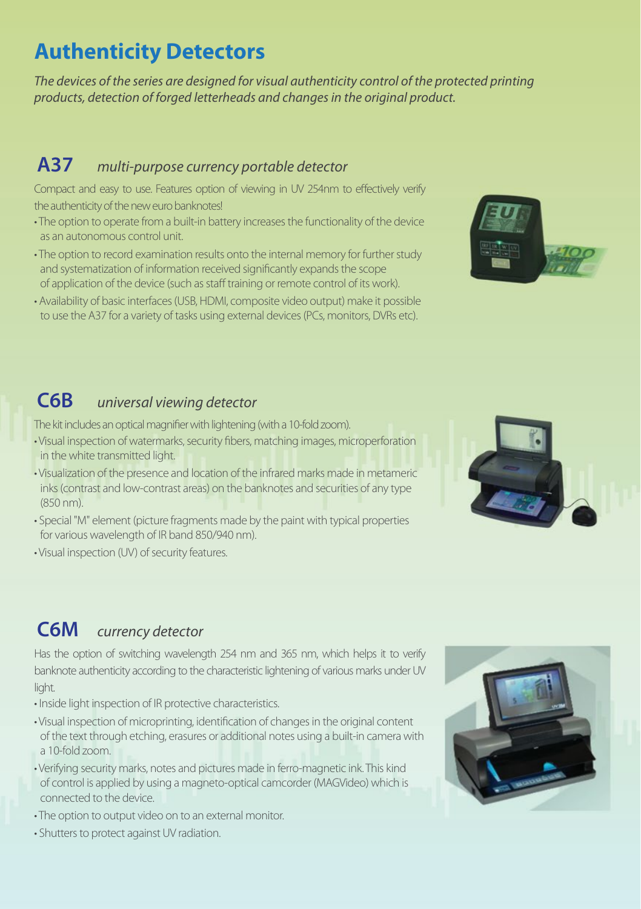# **Authenticity Detectors**

*The devices of the series are designed for visual authenticity control of the protected printing products, detection of forged letterheads and changes in the original product.* 

#### **A37** *multi-purpose currency portable detector*

Compact and easy to use. Features option of viewing in UV 254nm to effectively verify the authenticity of the new euro banknotes!

- The option to operate from a built-in battery increases the functionality of the device as an autonomous control unit.
- The option to record examination results onto the internal memory for further study and systematization of information received significantly expands the scope of application of the device (such as staff training or remote control of its work).
- Availability of basic interfaces (USB, HDMI, composite video output) make it possible to use the A37 for a variety of tasks using external devices (PCs, monitors, DVRs etc).



### **C6B** *universal viewing detector*

The kit includes an optical magnifier with lightening (with a 10-fold zoom).

- Visual inspection of watermarks, security fibers, matching images, microperforation in the white transmitted light.
- Visualization of the presence and location of the infrared marks made in metameric inks (contrast and low-contrast areas) on the banknotes and securities of any type (850 nm).
- Special "M" element (picture fragments made by the paint with typical properties for various wavelength of IR band 850/940 nm).
- Visual inspection (UV) of security features.

## **C6M** *currency detector*

Has the option of switching wavelength 254 nm and 365 nm, which helps it to verify banknote authenticity according to the characteristic lightening of various marks under UV light.

- Inside light inspection of IR protective characteristics.
- Visual inspection of microprinting, identification of changes in the original content of the text through etching, erasures or additional notes using a built-in camera with a 10-fold zoom.
- Verifying security marks, notes and pictures made in ferro-magnetic ink. This kind of control is applied by using a magneto-optical camcorder (MAGVideo) which is connected to the device.
- The option to output video on to an external monitor.
- Shutters to protect against UV radiation.